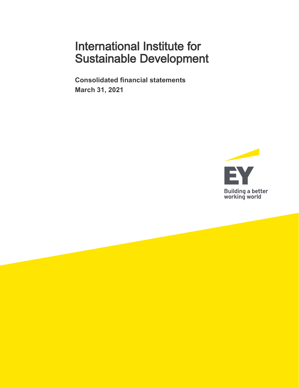**Consolidated financial statements March 31, 2021** 

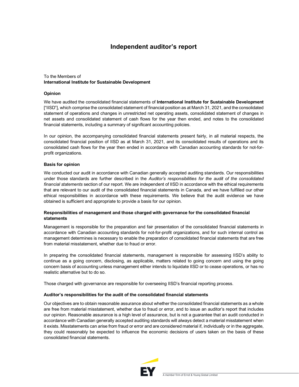# **Independent auditor's report**

#### To the Members of **International Institute for Sustainable Development**

#### **Opinion**

We have audited the consolidated financial statements of **International Institute for Sustainable Development** ["IISD"], which comprise the consolidated statement of financial position as at March 31, 2021, and the consolidated statement of operations and changes in unrestricted net operating assets, consolidated statement of changes in net assets and consolidated statement of cash flows for the year then ended, and notes to the consolidated financial statements, including a summary of significant accounting policies.

In our opinion, the accompanying consolidated financial statements present fairly, in all material respects, the consolidated financial position of IISD as at March 31, 2021, and its consolidated results of operations and its consolidated cash flows for the year then ended in accordance with Canadian accounting standards for not-forprofit organizations.

#### **Basis for opinion**

We conducted our audit in accordance with Canadian generally accepted auditing standards. Our responsibilities under those standards are further described in the *Auditor's responsibilities for the audit of the consolidated financial statements* section of our report. We are independent of IISD in accordance with the ethical requirements that are relevant to our audit of the consolidated financial statements in Canada, and we have fulfilled our other ethical responsibilities in accordance with these requirements. We believe that the audit evidence we have obtained is sufficient and appropriate to provide a basis for our opinion.

#### **Responsibilities of management and those charged with governance for the consolidated financial statements**

Management is responsible for the preparation and fair presentation of the consolidated financial statements in accordance with Canadian accounting standards for not-for-profit organizations, and for such internal control as management determines is necessary to enable the preparation of consolidated financial statements that are free from material misstatement, whether due to fraud or error.

In preparing the consolidated financial statements, management is responsible for assessing IISD's ability to continue as a going concern, disclosing, as applicable, matters related to going concern and using the going concern basis of accounting unless management either intends to liquidate IISD or to cease operations, or has no realistic alternative but to do so.

Those charged with governance are responsible for overseeing IISD's financial reporting process.

#### **Auditor's responsibilities for the audit of the consolidated financial statements**

Our objectives are to obtain reasonable assurance about whether the consolidated financial statements as a whole are free from material misstatement, whether due to fraud or error, and to issue an auditor's report that includes our opinion. Reasonable assurance is a high level of assurance, but is not a guarantee that an audit conducted in accordance with Canadian generally accepted auditing standards will always detect a material misstatement when it exists. Misstatements can arise from fraud or error and are considered material if, individually or in the aggregate, they could reasonably be expected to influence the economic decisions of users taken on the basis of these consolidated financial statements.

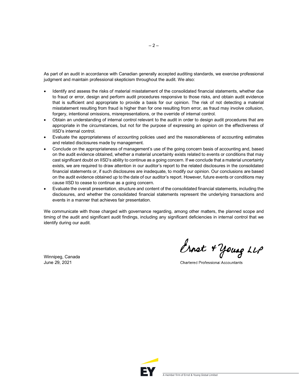As part of an audit in accordance with Canadian generally accepted auditing standards, we exercise professional judgment and maintain professional skepticism throughout the audit. We also:

- Identify and assess the risks of material misstatement of the consolidated financial statements, whether due to fraud or error, design and perform audit procedures responsive to those risks, and obtain audit evidence that is sufficient and appropriate to provide a basis for our opinion. The risk of not detecting a material misstatement resulting from fraud is higher than for one resulting from error, as fraud may involve collusion, forgery, intentional omissions, misrepresentations, or the override of internal control.
- Obtain an understanding of internal control relevant to the audit in order to design audit procedures that are appropriate in the circumstances, but not for the purpose of expressing an opinion on the effectiveness of IISD's internal control.
- Evaluate the appropriateness of accounting policies used and the reasonableness of accounting estimates and related disclosures made by management.
- Conclude on the appropriateness of management's use of the going concern basis of accounting and, based on the audit evidence obtained, whether a material uncertainty exists related to events or conditions that may cast significant doubt on IISD's ability to continue as a going concern. If we conclude that a material uncertainty exists, we are required to draw attention in our auditor's report to the related disclosures in the consolidated financial statements or, if such disclosures are inadequate, to modify our opinion. Our conclusions are based on the audit evidence obtained up to the date of our auditor's report. However, future events or conditions may cause IISD to cease to continue as a going concern.
- Evaluate the overall presentation, structure and content of the consolidated financial statements, including the disclosures, and whether the consolidated financial statements represent the underlying transactions and events in a manner that achieves fair presentation.

We communicate with those charged with governance regarding, among other matters, the planned scope and timing of the audit and significant audit findings, including any significant deficiencies in internal control that we identify during our audit.

Winnipeg, Canada June 29, 2021

Ernet + Young LLP

Chartered Professional Accountants

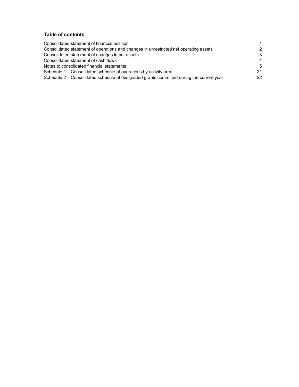## **Table of contents**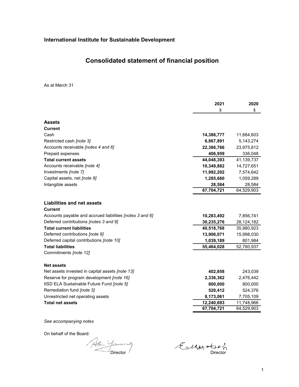# **Consolidated statement of financial position**

As at March 31

|                                                          | 2021       | 2020       |
|----------------------------------------------------------|------------|------------|
|                                                          | \$         | \$         |
| <b>Assets</b>                                            |            |            |
| <b>Current</b>                                           |            |            |
| Cash                                                     | 14,386,777 | 11,684,603 |
| Restricted cash [note 3]                                 | 6,867,891  | 5,143,274  |
| Accounts receivable [notes 4 and 6]                      | 22,386,766 | 23,975,812 |
| Prepaid expenses                                         | 406,959    | 336,048    |
| <b>Total current assets</b>                              | 44,048,393 | 41,139,737 |
| Accounts receivable [note 4]                             | 10,349,882 | 14,727,651 |
| Investments [note 7]                                     | 11,992,202 | 7,574,642  |
| Capital assets, net [note 8]                             | 1,285,660  | 1,059,289  |
| Intangible assets                                        | 28,584     | 28,584     |
|                                                          | 67,704,721 | 64,529,903 |
| <b>Liabilities and net assets</b><br>Current             |            |            |
| Accounts payable and accrued liabilities [notes 3 and 6] | 10,283,492 | 7,856,741  |
| Deferred contributions [notes 3 and 9]                   | 30,235,276 | 28,124,182 |
| <b>Total current liabilities</b>                         | 40,518,768 | 35,980,923 |
| Deferred contributions [note 9]                          | 13,906,071 | 15,998,030 |
| Deferred capital contributions [note 10]                 | 1,039,189  | 801,984    |
| <b>Total liabilities</b>                                 | 55,464,028 | 52,780,937 |
| Commitments [note 12]                                    |            |            |
| <b>Net assets</b>                                        |            |            |
| Net assets invested in capital assets [note 13]          | 402,858    | 243,039    |
| Reserve for program development [note 16]                | 2,336,362  | 2,476,442  |
| IISD ELA Sustainable Future Fund [note 5]                | 800,000    | 800,000    |
| Remediation fund [note 3]                                | 528,412    | 524,376    |
| Unrestricted net operating assets                        | 8,173,061  | 7,705,109  |
| <b>Total net assets</b>                                  | 12,240,693 | 11,748,966 |
|                                                          | 67,704,721 | 64,529,903 |

*See accompanying notes*

On behalf of the Board:

Birector Editsotheth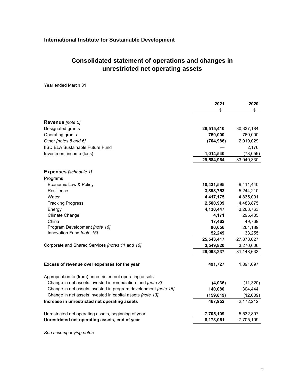# **Consolidated statement of operations and changes in unrestricted net operating assets**

Year ended March 31

|                                                                | 2021       | 2020       |
|----------------------------------------------------------------|------------|------------|
|                                                                | \$         | \$         |
|                                                                |            |            |
| Revenue [note 5]                                               |            |            |
| Designated grants                                              | 28,515,410 | 30,337,184 |
| Operating grants                                               | 760,000    | 760,000    |
| Other [notes 5 and 6]                                          | (704, 986) | 2,019,029  |
| <b>IISD ELA Sustainable Future Fund</b>                        |            | 2,176      |
| Investment income (loss)                                       | 1,014,540  | (78, 059)  |
|                                                                | 29,584,964 | 33,040,330 |
| <b>Expenses</b> [schedule 1]                                   |            |            |
| Programs                                                       |            |            |
| Economic Law & Policy                                          | 10,431,595 | 9,411,440  |
| Resilience                                                     | 3,898,753  | 5,244,210  |
| Water                                                          | 4,417,175  | 4,835,091  |
| <b>Tracking Progress</b>                                       | 2,500,909  | 4,483,875  |
| Energy                                                         | 4,130,447  | 3,263,763  |
| Climate Change                                                 | 4,171      | 295,435    |
| China                                                          | 17,462     | 49,769     |
| Program Development [note 16]                                  | 90,656     | 261,189    |
| Innovation Fund [note 16]                                      | 52,249     | 33,255     |
|                                                                | 25,543,417 | 27,878,027 |
| Corporate and Shared Services [notes 11 and 16]                | 3,549,820  | 3,270,606  |
|                                                                | 29,093,237 | 31,148,633 |
| Excess of revenue over expenses for the year                   | 491,727    | 1,891,697  |
| Appropriation to (from) unrestricted net operating assets      |            |            |
| Change in net assets invested in remediation fund [note 3]     | (4,036)    | (11,320)   |
| Change in net assets invested in program development [note 16] | 140,080    | 304,444    |
| Change in net assets invested in capital assets [note 13]      | (159, 819) | (12,609)   |
| Increase in unrestricted net operating assets                  | 467,952    | 2,172,212  |
| Unrestricted net operating assets, beginning of year           | 7,705,109  | 5,532,897  |
| Unrestricted net operating assets, end of year                 | 8,173,061  | 7,705,109  |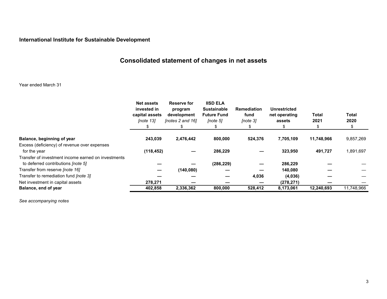# **Consolidated statement of changes in net assets**

## Year ended March 31

|                                                     | <b>Net assets</b><br>invested in<br>capital assets<br>Inote 131 | Reserve for<br>program<br>development<br>Inotes 2 and 161 | <b>IISD ELA</b><br><b>Sustainable</b><br><b>Future Fund</b><br>[note 5]<br>ъ | <b>Remediation</b><br>fund<br>[note $3$ ] | Unrestricted<br>net operating<br>assets | <b>Total</b><br>2021 | <b>Total</b><br>2020 |
|-----------------------------------------------------|-----------------------------------------------------------------|-----------------------------------------------------------|------------------------------------------------------------------------------|-------------------------------------------|-----------------------------------------|----------------------|----------------------|
| Balance, beginning of year                          | 243,039                                                         | 2,476,442                                                 | 800,000                                                                      | 524,376                                   | 7,705,109                               | 11,748,966           | 9,857,269            |
| Excess (deficiency) of revenue over expenses        |                                                                 |                                                           |                                                                              |                                           |                                         |                      |                      |
| for the year                                        | (118, 452)                                                      |                                                           | 286,229                                                                      |                                           | 323,950                                 | 491,727              | 1,891,697            |
|                                                     |                                                                 |                                                           |                                                                              |                                           |                                         |                      |                      |
| Transfer of investment income earned on investments |                                                                 |                                                           |                                                                              |                                           |                                         |                      |                      |
| to deferred contributions [note 5]                  |                                                                 |                                                           | (286, 229)                                                                   |                                           | 286,229                                 |                      |                      |
| Transfer from reserve [note 16]                     |                                                                 | (140,080)                                                 |                                                                              |                                           | 140,080                                 |                      |                      |
| Transfer to remediation fund [note 3]               |                                                                 |                                                           |                                                                              | 4,036                                     | (4,036)                                 |                      |                      |
| Net investment in capital assets                    | 278,271                                                         |                                                           |                                                                              |                                           | (278, 271)                              |                      |                      |
| Balance, end of year                                | 402,858                                                         | 2,336,362                                                 | 800,000                                                                      | 528,412                                   | 8,173,061                               | 12,240,693           | 11.748.966           |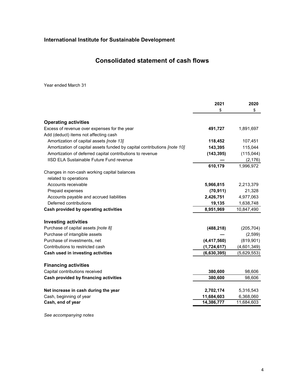# **Consolidated statement of cash flows**

Year ended March 31

|                                                                          | 2021          | 2020        |
|--------------------------------------------------------------------------|---------------|-------------|
|                                                                          | \$            | \$          |
| <b>Operating activities</b>                                              |               |             |
| Excess of revenue over expenses for the year                             | 491,727       | 1,891,697   |
| Add (deduct) items not affecting cash                                    |               |             |
| Amortization of capital assets [note 13]                                 | 118,452       | 107,451     |
| Amortization of capital assets funded by capital contributions [note 10] | 143,395       | 115,044     |
| Amortization of deferred capital contributions to revenue                | (143, 395)    | (115, 044)  |
| IISD ELA Sustainable Future Fund revenue                                 |               | (2, 176)    |
|                                                                          | 610,179       | 1,996,972   |
| Changes in non-cash working capital balances                             |               |             |
| related to operations                                                    |               |             |
| Accounts receivable                                                      | 5,966,815     | 2,213,379   |
| Prepaid expenses                                                         | (70, 911)     | 21,328      |
| Accounts payable and accrued liabilities                                 | 2,426,751     | 4,977,063   |
| Deferred contributions                                                   | 19,135        | 1,638,748   |
| Cash provided by operating activities                                    | 8,951,969     | 10,847,490  |
| <b>Investing activities</b>                                              |               |             |
| Purchase of capital assets [note 8]                                      | (488, 218)    | (205, 704)  |
| Purchase of intangible assets                                            |               | (2,599)     |
| Purchase of investments, net                                             | (4, 417, 560) | (819, 901)  |
| Contributions to restricted cash                                         | (1,724,617)   | (4,601,349) |
| Cash used in investing activities                                        | (6,630,395)   | (5,629,553) |
| <b>Financing activities</b>                                              |               |             |
| Capital contributions received                                           | 380,600       | 98,606      |
| Cash provided by financing activities                                    | 380,600       | 98,606      |
|                                                                          |               |             |
| Net increase in cash during the year                                     | 2,702,174     | 5,316,543   |
| Cash, beginning of year                                                  | 11,684,603    | 6,368,060   |
| Cash, end of year                                                        | 14,386,777    | 11,684,603  |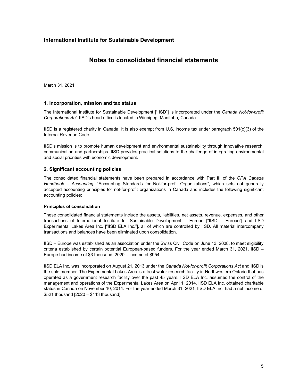# **Notes to consolidated financial statements**

March 31, 2021

### **1. Incorporation, mission and tax status**

The International Institute for Sustainable Development ["IISD"] is incorporated under the *Canada Not-for-profit Corporations Act*. IISD's head office is located in Winnipeg, Manitoba, Canada.

IISD is a registered charity in Canada. It is also exempt from U.S. income tax under paragraph 501(c)(3) of the Internal Revenue Code.

IISD's mission is to promote human development and environmental sustainability through innovative research, communication and partnerships. IISD provides practical solutions to the challenge of integrating environmental and social priorities with economic development.

### **2. Significant accounting policies**

The consolidated financial statements have been prepared in accordance with Part III of the *CPA Canada Handbook – Accounting*, "Accounting Standards for Not-for-profit Organizations", which sets out generally accepted accounting principles for not-for-profit organizations in Canada and includes the following significant accounting policies:

#### **Principles of consolidation**

These consolidated financial statements include the assets, liabilities, net assets, revenue, expenses, and other transactions of International Institute for Sustainable Development – Europe ["IISD – Europe"] and IISD Experimental Lakes Area Inc. ["IISD ELA Inc."], all of which are controlled by IISD. All material intercompany transactions and balances have been eliminated upon consolidation.

IISD – Europe was established as an association under the Swiss Civil Code on June 13, 2008, to meet eligibility criteria established by certain potential European-based funders. For the year ended March 31, 2021, IISD – Europe had income of \$3 thousand [2020 – income of \$954].

IISD ELA Inc. was incorporated on August 21, 2013 under the *Canada Not-for-profit Corporations Act* and IISD is the sole member. The Experimental Lakes Area is a freshwater research facility in Northwestern Ontario that has operated as a government research facility over the past 45 years. IISD ELA Inc. assumed the control of the management and operations of the Experimental Lakes Area on April 1, 2014. IISD ELA Inc. obtained charitable status in Canada on November 10, 2014. For the year ended March 31, 2021, IISD ELA Inc. had a net income of \$521 thousand [2020 – \$413 thousand].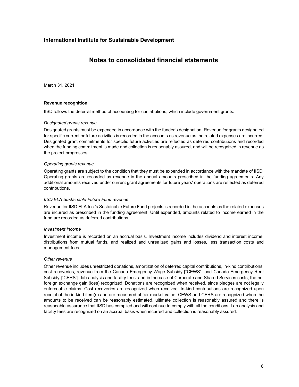# **Notes to consolidated financial statements**

March 31, 2021

#### **Revenue recognition**

IISD follows the deferral method of accounting for contributions, which include government grants.

#### *Designated grants revenue*

Designated grants must be expended in accordance with the funder's designation. Revenue for grants designated for specific current or future activities is recorded in the accounts as revenue as the related expenses are incurred. Designated grant commitments for specific future activities are reflected as deferred contributions and recorded when the funding commitment is made and collection is reasonably assured, and will be recognized in revenue as the project progresses.

#### *Operating grants revenue*

Operating grants are subject to the condition that they must be expended in accordance with the mandate of IISD. Operating grants are recorded as revenue in the annual amounts prescribed in the funding agreements. Any additional amounts received under current grant agreements for future years' operations are reflected as deferred contributions.

#### *IISD ELA Sustainable Future Fund revenue*

Revenue for IISD ELA Inc.'s Sustainable Future Fund projects is recorded in the accounts as the related expenses are incurred as prescribed in the funding agreement. Until expended, amounts related to income earned in the fund are recorded as deferred contributions.

#### *Investment income*

Investment income is recorded on an accrual basis. Investment income includes dividend and interest income, distributions from mutual funds, and realized and unrealized gains and losses, less transaction costs and management fees.

#### *Other revenue*

Other revenue includes unrestricted donations, amortization of deferred capital contributions, in-kind contributions, cost recoveries, revenue from the Canada Emergency Wage Subsidy ["CEWS"] and Canada Emergency Rent Subsidy ["CERS"], lab analysis and facility fees, and in the case of Corporate and Shared Services costs, the net foreign exchange gain (loss) recognized. Donations are recognized when received, since pledges are not legally enforceable claims. Cost recoveries are recognized when received. In-kind contributions are recognized upon receipt of the in-kind item(s) and are measured at fair market value. CEWS and CERS are recognized when the amounts to be received can be reasonably estimated, ultimate collection is reasonably assured and there is reasonable assurance that IISD has complied and will continue to comply with all the conditions. Lab analysis and facility fees are recognized on an accrual basis when incurred and collection is reasonably assured.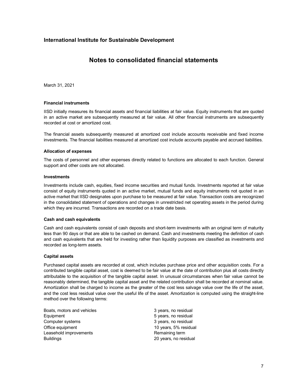# **Notes to consolidated financial statements**

March 31, 2021

#### **Financial instruments**

IISD initially measures its financial assets and financial liabilities at fair value. Equity instruments that are quoted in an active market are subsequently measured at fair value. All other financial instruments are subsequently recorded at cost or amortized cost.

The financial assets subsequently measured at amortized cost include accounts receivable and fixed income investments. The financial liabilities measured at amortized cost include accounts payable and accrued liabilities.

#### **Allocation of expenses**

The costs of personnel and other expenses directly related to functions are allocated to each function. General support and other costs are not allocated.

#### **Investments**

Investments include cash, equities, fixed income securities and mutual funds. Investments reported at fair value consist of equity instruments quoted in an active market, mutual funds and equity instruments not quoted in an active market that IISD designates upon purchase to be measured at fair value. Transaction costs are recognized in the consolidated statement of operations and changes in unrestricted net operating assets in the period during which they are incurred. Transactions are recorded on a trade date basis.

#### **Cash and cash equivalents**

Cash and cash equivalents consist of cash deposits and short-term investments with an original term of maturity less than 90 days or that are able to be cashed on demand. Cash and investments meeting the definition of cash and cash equivalents that are held for investing rather than liquidity purposes are classified as investments and recorded as long-term assets.

#### **Capital assets**

Purchased capital assets are recorded at cost, which includes purchase price and other acquisition costs. For a contributed tangible capital asset, cost is deemed to be fair value at the date of contribution plus all costs directly attributable to the acquisition of the tangible capital asset. In unusual circumstances when fair value cannot be reasonably determined, the tangible capital asset and the related contribution shall be recorded at nominal value. Amortization shall be charged to income as the greater of the cost less salvage value over the life of the asset, and the cost less residual value over the useful life of the asset. Amortization is computed using the straight-line method over the following terms:

| Boats, motors and vehicles | 3 years, no residual  |
|----------------------------|-----------------------|
| Equipment                  | 5 years, no residual  |
| Computer systems           | 3 years, no residual  |
| Office equipment           | 10 years, 5% residual |
| Leasehold improvements     | Remaining term        |
| <b>Buildings</b>           | 20 years, no residual |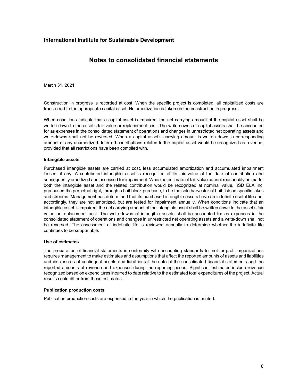# **Notes to consolidated financial statements**

March 31, 2021

Construction in progress is recorded at cost. When the specific project is completed, all capitalized costs are transferred to the appropriate capital asset. No amortization is taken on the construction in progress.

When conditions indicate that a capital asset is impaired, the net carrying amount of the capital asset shall be written down to the asset's fair value or replacement cost. The write-downs of capital assets shall be accounted for as expenses in the consolidated statement of operations and changes in unrestricted net operating assets and write-downs shall not be reversed. When a capital asset's carrying amount is written down, a corresponding amount of any unamortized deferred contributions related to the capital asset would be recognized as revenue, provided that all restrictions have been complied with.

#### **Intangible assets**

Purchased intangible assets are carried at cost, less accumulated amortization and accumulated impairment losses, if any. A contributed intangible asset is recognized at its fair value at the date of contribution and subsequently amortized and assessed for impairment. When an estimate of fair value cannot reasonably be made, both the intangible asset and the related contribution would be recognized at nominal value. IISD ELA Inc. purchased the perpetual right, through a bait block purchase, to be the sole harvester of bait fish on specific lakes and streams. Management has determined that its purchased intangible assets have an indefinite useful life and, accordingly, they are not amortized, but are tested for impairment annually. When conditions indicate that an intangible asset is impaired, the net carrying amount of the intangible asset shall be written down to the asset's fair value or replacement cost. The write-downs of intangible assets shall be accounted for as expenses in the consolidated statement of operations and changes in unrestricted net operating assets and a write-down shall not be reversed. The assessment of indefinite life is reviewed annually to determine whether the indefinite life continues to be supportable.

#### **Use of estimates**

The preparation of financial statements in conformity with accounting standards for not-for-profit organizations requires management to make estimates and assumptions that affect the reported amounts of assets and liabilities and disclosures of contingent assets and liabilities at the date of the consolidated financial statements and the reported amounts of revenue and expenses during the reporting period. Significant estimates include revenue recognized based on expenditures incurred to date relative to the estimated total expenditures of the project. Actual results could differ from these estimates.

#### **Publication production costs**

Publication production costs are expensed in the year in which the publication is printed.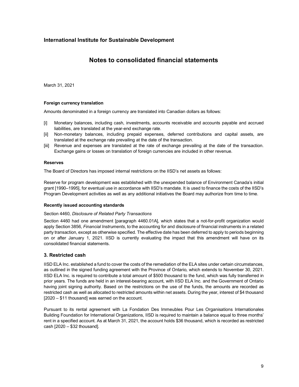# **Notes to consolidated financial statements**

March 31, 2021

#### **Foreign currency translation**

Amounts denominated in a foreign currency are translated into Canadian dollars as follows:

- [i] Monetary balances, including cash, investments, accounts receivable and accounts payable and accrued liabilities, are translated at the year-end exchange rate.
- [ii] Non-monetary balances, including prepaid expenses, deferred contributions and capital assets, are translated at the exchange rate prevailing at the date of the transaction.
- [iii] Revenue and expenses are translated at the rate of exchange prevailing at the date of the transaction. Exchange gains or losses on translation of foreign currencies are included in other revenue.

#### **Reserves**

The Board of Directors has imposed internal restrictions on the IISD's net assets as follows:

Reserve for program development was established with the unexpended balance of Environment Canada's initial grant [1990–1995], for eventual use in accordance with IISD's mandate. It is used to finance the costs of the IISD's Program Development activities as well as any additional initiatives the Board may authorize from time to time.

#### **Recently issued accounting standards**

#### Section 4460, *Disclosure of Related Party Transactions*

Section 4460 had one amendment [paragraph 4460.01A], which states that a not-for-profit organization would apply Section 3856, *Financial Instruments*, to the accounting for and disclosure of financial instruments in a related party transaction, except as otherwise specified. The effective date has been deferred to apply to periods beginning on or after January 1, 2021. IISD is currently evaluating the impact that this amendment will have on its consolidated financial statements.

## **3. Restricted cash**

IISD ELA Inc. established a fund to cover the costs of the remediation of the ELA sites under certain circumstances, as outlined in the signed funding agreement with the Province of Ontario, which extends to November 30, 2021. IISD ELA Inc. is required to contribute a total amount of \$500 thousand to the fund, which was fully transferred in prior years. The funds are held in an interest-bearing account, with IISD ELA Inc. and the Government of Ontario having joint signing authority. Based on the restrictions on the use of the funds, the amounts are recorded as restricted cash as well as allocated to restricted amounts within net assets. During the year, interest of \$4 thousand [2020 – \$11 thousand] was earned on the account.

Pursuant to its rental agreement with La Fondation Des Immeubles Pour Les Organisations Internationales Building Foundation for International Organizations, IISD is required to maintain a balance equal to three months' rent in a specified account. As at March 31, 2021, the account holds \$36 thousand, which is recorded as restricted cash [2020 – \$32 thousand].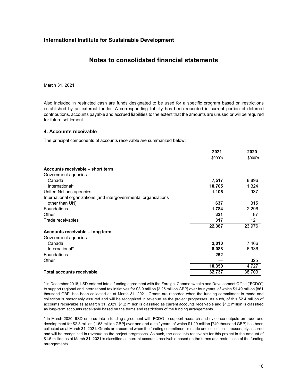# **Notes to consolidated financial statements**

March 31, 2021

Also included in restricted cash are funds designated to be used for a specific program based on restrictions established by an external funder. A corresponding liability has been recorded in current portion of deferred contributions, accounts payable and accrued liabilities to the extent that the amounts are unused or will be required for future settlement.

### **4. Accounts receivable**

The principal components of accounts receivable are summarized below:

|                                                                  | 2021    | 2020    |
|------------------------------------------------------------------|---------|---------|
|                                                                  | \$000's | \$000's |
| Accounts receivable - short term                                 |         |         |
| Government agencies                                              |         |         |
| Canada                                                           | 7,517   | 8,896   |
| International*                                                   | 10,705  | 11,324  |
| United Nations agencies                                          | 1,106   | 937     |
| International organizations [and intergovernmental organizations |         |         |
| other than UN]                                                   | 637     | 315     |
| Foundations                                                      | 1,784   | 2,296   |
| Other                                                            | 321     | 87      |
| Trade receivables                                                | 317     | 121     |
|                                                                  | 22,387  | 23,976  |
| Accounts receivable - long term                                  |         |         |
| Government agencies                                              |         |         |
| Canada                                                           | 2,010   | 7,466   |
| International*                                                   | 8,088   | 6,936   |
| <b>Foundations</b>                                               | 252     |         |
| Other                                                            |         | 325     |
|                                                                  | 10,350  | 14,727  |
| <b>Total accounts receivable</b>                                 | 32,737  | 38,703  |

\* In December 2018, IISD entered into a funding agreement with the Foreign, Commonwealth and Development Office ["FCDO"] to support regional and international tax initiatives for \$3.9 million [2.25 million GBP] over four years, of which \$1.49 million [861 thousand GBP] has been collected as at March 31, 2021. Grants are recorded when the funding commitment is made and collection is reasonably assured and will be recognized in revenue as the project progresses. As such, of this \$2.4 million of accounts receivable as at March 31, 2021, \$1.2 million is classified as current accounts receivable and \$1.2 million is classified as long-term accounts receivable based on the terms and restrictions of the funding arrangements.

\* In March 2020, IISD entered into a funding agreement with FCDO to support research and evidence outputs on trade and development for \$2.8 million [1.58 million GBP] over one and a half years, of which \$1.29 million [740 thousand GBP] has been collected as at March 31, 2021. Grants are recorded when the funding commitment is made and collection is reasonably assured and will be recognized in revenue as the project progresses. As such, the accounts receivable for this project in the amount of \$1.5 million as at March 31, 2021 is classified as current accounts receivable based on the terms and restrictions of the funding arrangements.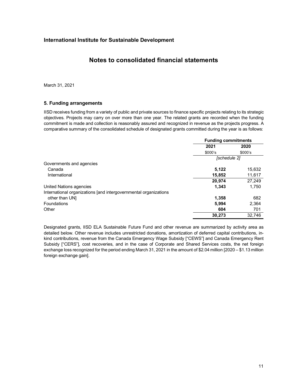# **Notes to consolidated financial statements**

March 31, 2021

#### **5. Funding arrangements**

IISD receives funding from a variety of public and private sources to finance specific projects relating to its strategic objectives. Projects may carry on over more than one year. The related grants are recorded when the funding commitment is made and collection is reasonably assured and recognized in revenue as the projects progress. A comparative summary of the consolidated schedule of designated grants committed during the year is as follows:

|                                                                  | <b>Funding commitments</b> |         |
|------------------------------------------------------------------|----------------------------|---------|
|                                                                  | 2021                       | 2020    |
|                                                                  | \$000's                    | \$000's |
|                                                                  | [schedule 2]               |         |
| Governments and agencies                                         |                            |         |
| Canada                                                           | 5,122                      | 15,632  |
| International                                                    | 15,852                     | 11,617  |
|                                                                  | 20.974                     | 27,249  |
| United Nations agencies                                          | 1,343                      | 1,750   |
| International organizations [and intergovernmental organizations |                            |         |
| other than UN]                                                   | 1,358                      | 682     |
| <b>Foundations</b>                                               | 5,994                      | 2,364   |
| Other                                                            | 604                        | 701     |
|                                                                  | 30.273                     | 32.746  |

Designated grants, IISD ELA Sustainable Future Fund and other revenue are summarized by activity area as detailed below. Other revenue includes unrestricted donations, amortization of deferred capital contributions, inkind contributions, revenue from the Canada Emergency Wage Subsidy ["CEWS"] and Canada Emergency Rent Subsidy ["CERS"], cost recoveries, and in the case of Corporate and Shared Services costs, the net foreign exchange loss recognized for the period ending March 31, 2021 in the amount of \$2.04 million [2020 – \$1.13 million foreign exchange gain].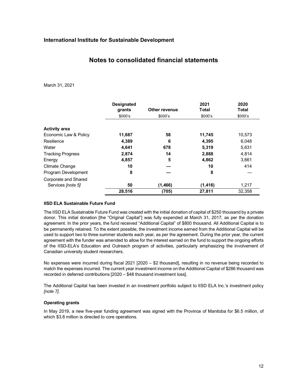# **Notes to consolidated financial statements**

March 31, 2021

|                          | <b>Designated</b> |               | 2021     | 2020         |
|--------------------------|-------------------|---------------|----------|--------------|
|                          | grants            | Other revenue | Total    | <b>Total</b> |
|                          | \$000's           | \$000's       | \$000's  | \$000's      |
| <b>Activity area</b>     |                   |               |          |              |
| Economic Law & Policy    | 11,687            | 58            | 11,745   | 10,573       |
| Resilience               | 4,389             | 6             | 4,395    | 6,048        |
| Water                    | 4,641             | 678           | 5,319    | 5,631        |
| <b>Tracking Progress</b> | 2,874             | 14            | 2,888    | 4,814        |
| Energy                   | 4,857             | 5             | 4,862    | 3,661        |
| Climate Change           | 10                |               | 10       | 414          |
| Program Development      | 8                 |               | 8        |              |
| Corporate and Shared     |                   |               |          |              |
| Services [note 5]        | 50                | (1, 466)      | (1, 416) | 1,217        |
|                          | 28,516            | (705)         | 27,811   | 32.358       |

#### **IISD ELA Sustainable Future Fund**

The IISD ELA Sustainable Future Fund was created with the initial donation of capital of \$250 thousand by a private donor. This initial donation [the "Original Capital"] was fully expended at March 31, 2017, as per the donation agreement. In the prior years, the fund received "Additional Capital" of \$800 thousand. All Additional Capital is to be permanently retained. To the extent possible, the investment income earned from the Additional Capital will be used to support two to three summer students each year, as per the agreement. During the prior year, the current agreement with the funder was amended to allow for the interest earned on the fund to support the ongoing efforts of the IISD-ELA's Education and Outreach program of activities, particularly emphasizing the involvement of Canadian university student researchers.

No expenses were incurred during fiscal 2021 [2020 – \$2 thousand], resulting in no revenue being recorded to match the expenses incurred. The current year investment income on the Additional Capital of \$286 thousand was recorded in deferred contributions [2020 – \$48 thousand investment loss].

The Additional Capital has been invested in an investment portfolio subject to IISD ELA Inc.'s investment policy *[note 7]*.

### **Operating grants**

In May 2019, a new five-year funding agreement was signed with the Province of Manitoba for \$6.5 million, of which \$3.8 million is directed to core operations.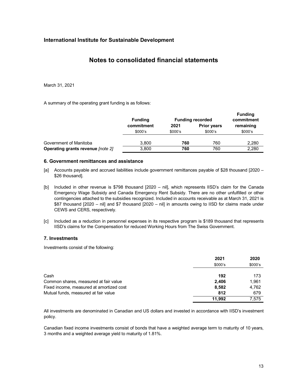# **Notes to consolidated financial statements**

March 31, 2021

A summary of the operating grant funding is as follows:

|                                   | <b>Funding</b> |         | <b>Funding recorded</b> | <b>Funding</b><br>commitment |
|-----------------------------------|----------------|---------|-------------------------|------------------------------|
|                                   | commitment     | 2021    | <b>Prior years</b>      | remaining                    |
|                                   | \$000's        | \$000's | \$000's                 | \$000's                      |
| Government of Manitoba            | 3.800          | 760     | 760                     | 2,280                        |
| Operating grants revenue [note 2] | 3,800          | 760     | 760                     | 2,280                        |

## **6. Government remittances and assistance**

- [a] Accounts payable and accrued liabilities include government remittances payable of \$28 thousand [2020 \$26 thousand].
- [b] Included in other revenue is \$798 thousand [2020 nil], which represents IISD's claim for the Canada Emergency Wage Subsidy and Canada Emergency Rent Subsidy. There are no other unfulfilled or other contingencies attached to the subsidies recognized. Included in accounts receivable as at March 31, 2021 is \$87 thousand [2020 – nil] and \$7 thousand [2020 – nil] in amounts owing to IISD for claims made under CEWS and CERS, respectively.
- [c] Included as a reduction in personnel expenses in its respective program is \$189 thousand that represents IISD's claims for the Compensation for reduced Working Hours from The Swiss Government.

### **7. Investments**

Investments consist of the following:

|                                          | 2021    | 2020    |
|------------------------------------------|---------|---------|
|                                          | \$000's | \$000's |
| Cash                                     | 192     | 173     |
| Common shares, measured at fair value    | 2.406   | 1,961   |
| Fixed income, measured at amortized cost | 8.582   | 4,762   |
| Mutual funds, measured at fair value     | 812     | 679     |
|                                          | 11.992  | 7.575   |

All investments are denominated in Canadian and US dollars and invested in accordance with IISD's investment policy.

Canadian fixed income investments consist of bonds that have a weighted average term to maturity of 10 years, 3 months and a weighted average yield to maturity of 1.81%.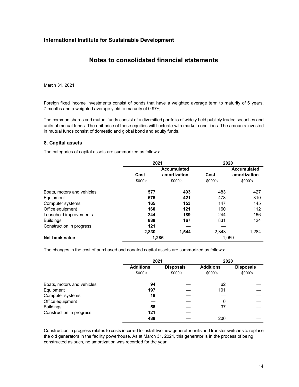# **Notes to consolidated financial statements**

March 31, 2021

Foreign fixed income investments consist of bonds that have a weighted average term to maturity of 6 years, 7 months and a weighted average yield to maturity of 0.97%.

The common shares and mutual funds consist of a diversified portfolio of widely held publicly traded securities and units of mutual funds. The unit price of these equities will fluctuate with market conditions. The amounts invested in mutual funds consist of domestic and global bond and equity funds.

#### **8. Capital assets**

The categories of capital assets are summarized as follows:

|                            | 2021               |              | 2020    |              |  |
|----------------------------|--------------------|--------------|---------|--------------|--|
|                            | <b>Accumulated</b> |              |         | Accumulated  |  |
|                            | Cost               | amortization | Cost    | amortization |  |
|                            | \$000's            | \$000's      | \$000's | \$000's      |  |
| Boats, motors and vehicles | 577                | 493          | 483     | 427          |  |
| Equipment                  | 675                | 421          | 478     | 310          |  |
| Computer systems           | 165                | 153          | 147     | 145          |  |
| Office equipment           | 160                | 121          | 160     | 112          |  |
| Leasehold improvements     | 244                | 189          | 244     | 166          |  |
| <b>Buildings</b>           | 888                | 167          | 831     | 124          |  |
| Construction in progress   | 121                |              |         |              |  |
|                            | 2,830              | 1,544        | 2,343   | 1,284        |  |
| Net book value             |                    | 1,286        |         | 1,059        |  |

The changes in the cost of purchased and donated capital assets are summarized as follows:

|                            | 2021             |                  | 2020             |                  |  |
|----------------------------|------------------|------------------|------------------|------------------|--|
|                            | <b>Additions</b> | <b>Disposals</b> | <b>Additions</b> | <b>Disposals</b> |  |
|                            | \$000's          | \$000's          | \$000's          | \$000's          |  |
| Boats, motors and vehicles | 94               |                  | 62               |                  |  |
| Equipment                  | 197              |                  | 101              |                  |  |
| Computer systems           | 18               |                  |                  |                  |  |
| Office equipment           |                  |                  | 6                |                  |  |
| <b>Buildings</b>           | 58               |                  | 37               |                  |  |
| Construction in progress   | 121              |                  |                  |                  |  |
|                            | 488              |                  | 206              |                  |  |

Construction in progress relates to costs incurred to install two new generator units and transfer switches to replace the old generators in the facility powerhouse. As at March 31, 2021, this generator is in the process of being constructed as such, no amortization was recorded for the year.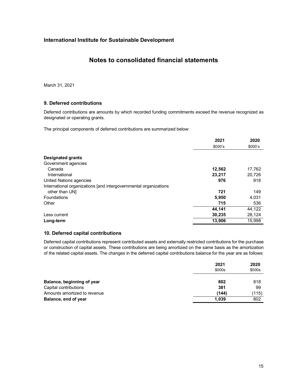# **Notes to consolidated financial statements**

March 31, 2021

### **9. Deferred contributions**

Deferred contributions are amounts by which recorded funding commitments exceed the revenue recognized as designated or operating grants.

The principal components of deferred contributions are summarized below:

|                                                                  | 2021    | 2020    |
|------------------------------------------------------------------|---------|---------|
|                                                                  | \$000's | \$000's |
| <b>Designated grants</b>                                         |         |         |
| Government agencies                                              |         |         |
| Canada                                                           | 12,562  | 17,762  |
| International                                                    | 23,217  | 20,726  |
| United Nations agencies                                          | 976     | 918     |
| International organizations [and intergovernmental organizations |         |         |
| other than UN]                                                   | 721     | 149     |
| Foundations                                                      | 5,950   | 4,031   |
| Other                                                            | 715     | 536     |
|                                                                  | 44,141  | 44,122  |
| Less current                                                     | 30,235  | 28,124  |
| Long-term                                                        | 13,906  | 15,998  |

#### **10. Deferred capital contributions**

Deferred capital contributions represent contributed assets and externally restricted contributions for the purchase or construction of capital assets. These contributions are being amortized on the same basis as the amortization of the related capital assets. The changes in the deferred capital contributions balance for the year are as follows:

|                              | 2021<br>\$000s | 2020<br>\$000s |
|------------------------------|----------------|----------------|
| Balance, beginning of year   | 802            | 818            |
| Capital contributions        | 381            | 99             |
| Amounts amortized to revenue | (144)          | (115)          |
| Balance, end of year         | 1.039          | 802            |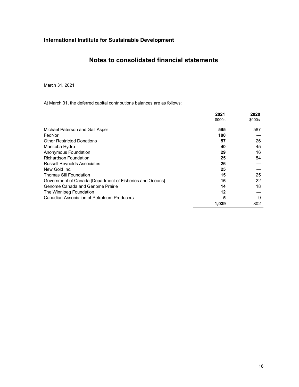# **Notes to consolidated financial statements**

March 31, 2021

At March 31, the deferred capital contributions balances are as follows:

|                                                           | 2021   | 2020   |
|-----------------------------------------------------------|--------|--------|
|                                                           | \$000s | \$000s |
| Michael Paterson and Gail Asper                           | 595    | 587    |
| FedNor                                                    | 180    |        |
| <b>Other Restricted Donations</b>                         | 57     | 26     |
| Manitoba Hydro                                            | 40     | 45     |
| Anonymous Foundation                                      | 29     | 16     |
| <b>Richardson Foundation</b>                              | 25     | 54     |
| <b>Russell Reynolds Associates</b>                        | 26     |        |
| New Gold Inc.                                             | 25     |        |
| Thomas Sill Foundation                                    | 15     | 25     |
| Government of Canada [Department of Fisheries and Oceans] | 16     | 22     |
| Genome Canada and Genome Prairie                          | 14     | 18     |
| The Winnipeg Foundation                                   | 12     |        |
| Canadian Association of Petroleum Producers               | 5      | 9      |
|                                                           | 1.039  | 802    |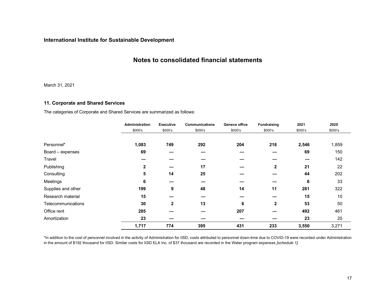# **Notes to consolidated financial statements**

#### March 31, 2021

## **11. Corporate and Shared Services**

The categories of Corporate and Shared Services are summarized as follows:

|                    | Administration | <b>Executive</b> | <b>Communications</b> | Geneva office | <b>Fundraising</b> | 2021    | 2020    |
|--------------------|----------------|------------------|-----------------------|---------------|--------------------|---------|---------|
|                    | \$000's        | \$000's          | \$000's               | \$000's       | \$000's            | \$000's | \$000's |
|                    |                |                  |                       |               |                    |         |         |
| Personnel*         | 1,083          | 749              | 292                   | 204           | 218                | 2,546   | 1,859   |
| Board - expenses   | 69             |                  |                       |               |                    | 69      | 150     |
| Travel             |                |                  |                       |               |                    |         | 142     |
| Publishing         | $\mathbf{2}$   |                  | 17                    |               | $\mathbf{2}$       | 21      | 22      |
| Consulting         | 5              | 14               | 25                    |               |                    | 44      | 202     |
| Meetings           | 6              |                  |                       |               |                    | 6       | 33      |
| Supplies and other | 199            | 9                | 48                    | 14            | 11                 | 281     | 322     |
| Research material  | 15             |                  |                       |               |                    | 15      | 10      |
| Telecommunications | 30             | $\mathbf{2}$     | 13                    | 6             | $\mathbf{2}$       | 53      | 50      |
| Office rent        | 285            |                  |                       | 207           |                    | 492     | 461     |
| Amortization       | 23             |                  |                       |               |                    | 23      | 20      |
|                    | 1,717          | 774              | 395                   | 431           | 233                | 3,550   | 3,271   |

\*In addition to the cost of personnel involved in the activity of Administration for IISD, costs attributed to personnel down-time due to COVID-19 were recorded under Administration in the amount of \$192 thousand for IISD. Similar costs for IISD ELA Inc. of \$37 thousand are recorded in the Water program expenses *[schedule 1].*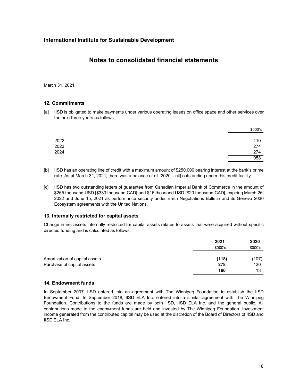# **Notes to consolidated financial statements**

March 31, 2021

#### **12. Commitments**

[a] IISD is obligated to make payments under various operating leases on office space and other services over the next three years as follows:

|      | \$000's |
|------|---------|
|      |         |
| 2022 | 410     |
| 2023 | 274     |
| 2024 | 274     |
|      | 958     |

- [b] IISD has an operating line of credit with a maximum amount of \$250,000 bearing interest at the bank's prime rate. As at March 31, 2021, there was a balance of nil [2020 – nil] outstanding under this credit facility.
- [c] IISD has two outstanding letters of guarantee from Canadian Imperial Bank of Commerce in the amount of \$265 thousand USD [\$333 thousand CAD] and \$16 thousand USD [\$20 thousand CAD], expiring March 26, 2022 and June 15, 2021 as performance security under Earth Negotiations Bulletin and its Geneva 2030 Ecosystem agreements with the United Nations.

#### **13. Internally restricted for capital assets**

Change in net assets internally restricted for capital assets relates to assets that were acquired without specific directed funding and is calculated as follows:

|                                | 2021    | 2020    |  |
|--------------------------------|---------|---------|--|
|                                | \$000's | \$000's |  |
| Amortization of capital assets | (118)   | (107)   |  |
| Purchase of capital assets     | 278     | 120     |  |
|                                | 160     | 13      |  |

### **14. Endowment funds**

In September 2007, IISD entered into an agreement with The Winnipeg Foundation to establish the IISD Endowment Fund. In September 2018, IISD ELA Inc. entered into a similar agreement with The Winnipeg Foundation. Contributions to the funds are made by both IISD, IISD ELA Inc. and the general public. All contributions made to the endowment funds are held and invested by The Winnipeg Foundation. Investment income generated from the contributed capital may be used at the discretion of the Board of Directors of IISD and IISD ELA Inc.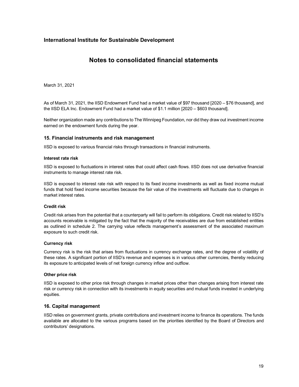# **Notes to consolidated financial statements**

March 31, 2021

As of March 31, 2021, the IISD Endowment Fund had a market value of \$97 thousand [2020 – \$76 thousand], and the IISD ELA Inc. Endowment Fund had a market value of \$1.1 million [2020 – \$603 thousand].

Neither organization made any contributions to The Winnipeg Foundation, nor did they draw out investment income earned on the endowment funds during the year.

#### **15. Financial instruments and risk management**

IISD is exposed to various financial risks through transactions in financial instruments.

#### **Interest rate risk**

IISD is exposed to fluctuations in interest rates that could affect cash flows. IISD does not use derivative financial instruments to manage interest rate risk.

IISD is exposed to interest rate risk with respect to its fixed income investments as well as fixed income mutual funds that hold fixed income securities because the fair value of the investments will fluctuate due to changes in market interest rates.

#### **Credit risk**

Credit risk arises from the potential that a counterparty will fail to perform its obligations. Credit risk related to IISD's accounts receivable is mitigated by the fact that the majority of the receivables are due from established entities as outlined in schedule 2. The carrying value reflects management's assessment of the associated maximum exposure to such credit risk.

#### **Currency risk**

Currency risk is the risk that arises from fluctuations in currency exchange rates, and the degree of volatility of these rates. A significant portion of IISD's revenue and expenses is in various other currencies, thereby reducing its exposure to anticipated levels of net foreign currency inflow and outflow.

#### **Other price risk**

IISD is exposed to other price risk through changes in market prices other than changes arising from interest rate risk or currency risk in connection with its investments in equity securities and mutual funds invested in underlying equities.

#### **16. Capital management**

IISD relies on government grants, private contributions and investment income to finance its operations. The funds available are allocated to the various programs based on the priorities identified by the Board of Directors and contributors' designations.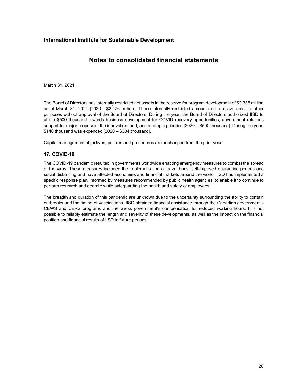# **Notes to consolidated financial statements**

March 31, 2021

The Board of Directors has internally restricted net assets in the reserve for program development of \$2.336 million as at March 31, 2021 [2020 - \$2.476 million]. These internally restricted amounts are not available for other purposes without approval of the Board of Directors. During the year, the Board of Directors authorized IISD to utilize \$500 thousand towards business development for COVID recovery opportunities, government relations support for major proposals, the innovation fund, and strategic priorities [2020 – \$500 thousand]. During the year, \$140 thousand was expended [2020 – \$304 thousand].

Capital management objectives, policies and procedures are unchanged from the prior year.

## **17. COVID-19**

The COVID-19 pandemic resulted in governments worldwide enacting emergency measures to combat the spread of the virus. These measures included the implementation of travel bans, self-imposed quarantine periods and social distancing and have affected economies and financial markets around the world. IISD has implemented a specific response plan, informed by measures recommended by public health agencies, to enable it to continue to perform research and operate while safeguarding the health and safety of employees.

The breadth and duration of this pandemic are unknown due to the uncertainty surrounding the ability to contain outbreaks and the timing of vaccinations. IISD obtained financial assistance through the Canadian government's CEWS and CERS programs and the Swiss government's compensation for reduced working hours. It is not possible to reliably estimate the length and severity of these developments, as well as the impact on the financial position and financial results of IISD in future periods.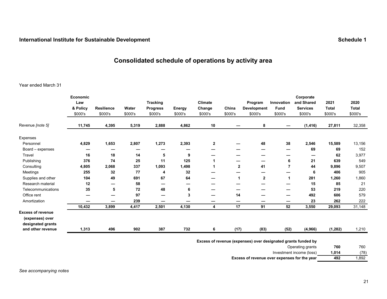# **International Institute for Sustainable Development Schedule 1 Schedule 1 Schedule 1 Schedule 1**

# **Consolidated schedule of operations by activity area**

#### Year ended March 31

|                                             | <b>Economic</b> |                   |         |                 |         |                |                |                    |             | Corporate       |              |              |
|---------------------------------------------|-----------------|-------------------|---------|-----------------|---------|----------------|----------------|--------------------|-------------|-----------------|--------------|--------------|
|                                             | Law             |                   |         | <b>Tracking</b> |         | <b>Climate</b> |                | Program            | Innovation  | and Shared      | 2021         | 2020         |
|                                             | & Policy        | <b>Resilience</b> | Water   | <b>Progress</b> | Energy  | Change         | China          | <b>Development</b> | <b>Fund</b> | <b>Services</b> | <b>Total</b> | <b>Total</b> |
|                                             | \$000's         | \$000's           | \$000's | \$000's         | \$000's | \$000's        | \$000's        | \$000's            | \$000's     | \$000's         | \$000's      | \$000's      |
| Revenue [note 5]                            | 11,745          | 4,395             | 5,319   | 2,888           | 4,862   | 10             | –              | 8                  | –           | (1, 416)        | 27,811       | 32,358       |
| Expenses                                    |                 |                   |         |                 |         |                |                |                    |             |                 |              |              |
| Personnel                                   | 4,829           | 1,653             | 2,807   | 1,273           | 2,393   | $\mathbf{2}$   |                | 48                 | 38          | 2,546           | 15,589       | 13,156       |
| Board - expenses                            |                 |                   |         |                 |         |                |                |                    |             | 69              | 69           | 152          |
| Travel                                      | 16              | 18                | 14      | 5               | 9       |                |                |                    |             | -               | 62           | 3,977        |
| Publishing                                  | 376             | 74                | 25      | 11              | 125     |                |                |                    | 6           | 21              | 639          | 549          |
| Consulting                                  | 4,805           | 2,068             | 337     | 1,093           | 1,498   |                | $\overline{2}$ | 41                 | 7           | 44              | 9,896        | 9,507        |
| Meetings                                    | 255             | 32                | 77      | 4               | 32      |                |                | –                  |             | 6               | 406          | 905          |
| Supplies and other                          | 104             | 49                | 691     | 67              | 64      |                | $\mathbf 1$    | $\mathbf{2}$       |             | 281             | 1,260        | 1,860        |
| Research material                           | 12              | -                 | 58      | —               |         |                |                |                    |             | 15              | 85           | 21           |
| Telecommunications                          | 35              | 5                 | 72      | 48              | 6       |                | –              |                    | –           | 53              | 219          | 220          |
| Office rent                                 |                 | –                 | 97      | –               | 3       |                | 14             |                    |             | 492             | 606          | 579          |
| Amortization                                |                 |                   | 239     |                 |         |                |                |                    |             | 23              | 262          | 222          |
|                                             | 10,432          | 3,899             | 4,417   | 2,501           | 4,130   | 4              | 17             | 91                 | 52          | 3,550           | 29,093       | 31,148       |
| <b>Excess of revenue</b><br>(expenses) over |                 |                   |         |                 |         |                |                |                    |             |                 |              |              |
| designated grants<br>and other revenue      | 1,313           | 496               | 902     | 387             | 732     | 6              | (17)           | (83)               | (52)        | (4, 966)        | (1, 282)     | 1,210        |

#### **Excess of revenue (expenses) over designated grants funded by**

| Operating grants                             | 760   | 760   |
|----------------------------------------------|-------|-------|
| Investment income (loss)                     | 1.014 | (78)  |
| Excess of revenue over expenses for the year | 492   | 1.892 |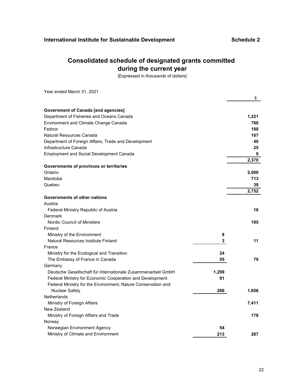$\sim$ 

# **Consolidated schedule of designated grants committed during the current year**

[Expressed in thousands of dollars]

Year ended March 31, 2021

| <b>Government of Canada [and agencies]</b>                    |       |       |
|---------------------------------------------------------------|-------|-------|
| Department of Fisheries and Oceans Canada                     |       | 1,221 |
| <b>Environment and Climate Change Canada</b>                  |       | 788   |
| Fednor                                                        |       | 180   |
| Natural Resources Canada                                      |       | 107   |
| Department of Foreign Affairs, Trade and Development          |       | 40    |
| Infrastructure Canada                                         |       | 25    |
| <b>Employment and Social Development Canada</b>               |       | 9     |
|                                                               |       | 2,370 |
| Governments of provinces or territories                       |       |       |
| Ontario                                                       |       | 2,000 |
| Manitoba                                                      |       | 713   |
| Quebec                                                        |       | 39    |
|                                                               |       | 2,752 |
| Governments of other nations                                  |       |       |
| Austria                                                       |       |       |
| Federal Ministry Republic of Austria                          |       | 16    |
| Denmark                                                       |       |       |
| Nordic Council of Ministers                                   |       | 195   |
| Finland                                                       |       |       |
| Ministry of the Environment                                   | 8     |       |
| Natural Resources Institute Finland                           | 3     | 11    |
| France                                                        |       |       |
| Ministry for the Ecological and Transition                    | 24    |       |
| The Embassy of France in Canada                               | 55    | 79    |
| Germany                                                       |       |       |
| Deutsche Gesellschaft für Internationale Zusammenarbeit GmbH  | 1,299 |       |
| Federal Ministry for Economic Cooperation and Development     | 91    |       |
| Federal Ministry for the Environment, Nature Conservation and |       |       |
| <b>Nuclear Safety</b>                                         | 266   | 1,656 |
| Netherlands                                                   |       |       |
| Ministry of Foreign Affairs                                   |       | 7,411 |
| New Zealand                                                   |       |       |
| Ministry of Foreign Affairs and Trade                         |       | 178   |
| Norway                                                        |       |       |
| Norwegian Environment Agency                                  | 54    |       |
| Ministry of Climate and Environment                           | 213   | 267   |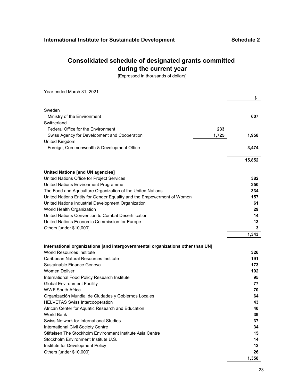# **Consolidated schedule of designated grants committed during the current year**

[Expressed in thousands of dollars]

Year ended March 31, 2021

|                                                                                 | \$         |
|---------------------------------------------------------------------------------|------------|
| Sweden                                                                          |            |
| Ministry of the Environment                                                     | 607        |
| Switzerland                                                                     |            |
| <b>Federal Office for the Environment</b><br>233                                |            |
| 1,725<br>Swiss Agency for Development and Cooperation                           | 1,958      |
| United Kingdom<br>Foreign, Commonwealth & Development Office                    | 3,474      |
|                                                                                 |            |
|                                                                                 | 15,852     |
| <b>United Nations [and UN agencies]</b>                                         |            |
| United Nations Office for Project Services                                      | 382        |
| United Nations Environment Programme                                            | 350        |
| The Food and Agriculture Organization of the United Nations                     | 334        |
| United Nations Entity for Gender Equality and the Empowerment of Women          | 157        |
| United Nations Industrial Development Organization                              | 61         |
| World Health Organization                                                       | 29         |
| United Nations Convention to Combat Desertification                             | 14         |
| United Nations Economic Commission for Europe                                   | 13         |
| Others [under \$10,000]                                                         | 3          |
|                                                                                 | 1,343      |
| International organizations [and intergovernmental organizations other than UN] |            |
| <b>World Resources Institute</b>                                                | 326        |
| Caribbean Natural Resources Institute<br>Sustainable Finance Geneva             | 191<br>173 |
| <b>Women Deliver</b>                                                            | 102        |
| International Food Policy Research Institute                                    | 95         |
| <b>Global Environment Facility</b>                                              | 77         |
| <b>WWF South Africa</b>                                                         | 70         |
| Organización Mundial de Ciudades y Gobiernos Locales                            | 64         |
| <b>HELVETAS Swiss Intercooperation</b>                                          | 43         |
| African Center for Aquatic Research and Education                               | 40         |
| World Bank                                                                      | 39         |
| Swiss Network for International Studies                                         | 37         |
| International Civil Society Centre                                              | 34         |
| Stiftelsen The Stockholm Environment Institute Asia Centre                      | 15         |
| Stockholm Environment Institute U.S.                                            | 14         |
| Institute for Development Policy                                                | 12         |
| Others [under \$10,000]                                                         | 26         |
|                                                                                 | 1,358      |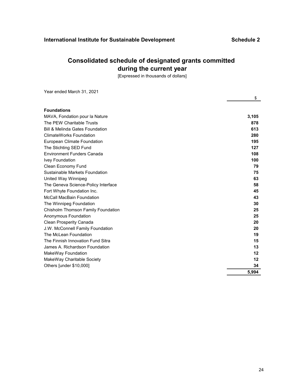$\begin{array}{c} \circ \\ \circ \\ \circ \end{array}$ 

# **Consolidated schedule of designated grants committed during the current year**

[Expressed in thousands of dollars]

**Foundations**

Year ended March 31, 2021

| MAVA, Fondation pour la Nature             | 3,105 |
|--------------------------------------------|-------|
| The PEW Charitable Trusts                  | 878   |
| <b>Bill &amp; Melinda Gates Foundation</b> | 613   |
| <b>ClimateWorks Foundation</b>             | 280   |
| European Climate Foundation                | 195   |
| The Stichting SED Fund                     | 127   |
| <b>Environment Funders Canada</b>          | 108   |
| <b>Ivey Foundation</b>                     | 100   |
| Clean Economy Fund                         | 79    |
| Sustainable Markets Foundation             | 75    |
| United Way Winnipeg                        | 63    |
| The Geneva Science-Policy Interface        | 58    |
| Fort Whyte Foundation Inc.                 | 45    |
| <b>McCall MacBain Foundation</b>           | 43    |
| The Winnipeg Foundation                    | 30    |
| Chisholm Thomson Family Foundation         | 25    |
| Anonymous Foundation                       | 25    |
| <b>Clean Prosperity Canada</b>             | 20    |
| <b>J.W. McConnell Family Foundation</b>    | 20    |
| The McLean Foundation                      | 19    |
| The Finnish Innovation Fund Sitra          | 15    |
| James A. Richardson Foundation             | 13    |
| MakeWay Foundation                         | 12    |
| MakeWay Charitable Society                 | 12    |
| Others [under \$10,000]                    | 34    |
|                                            | 5.994 |